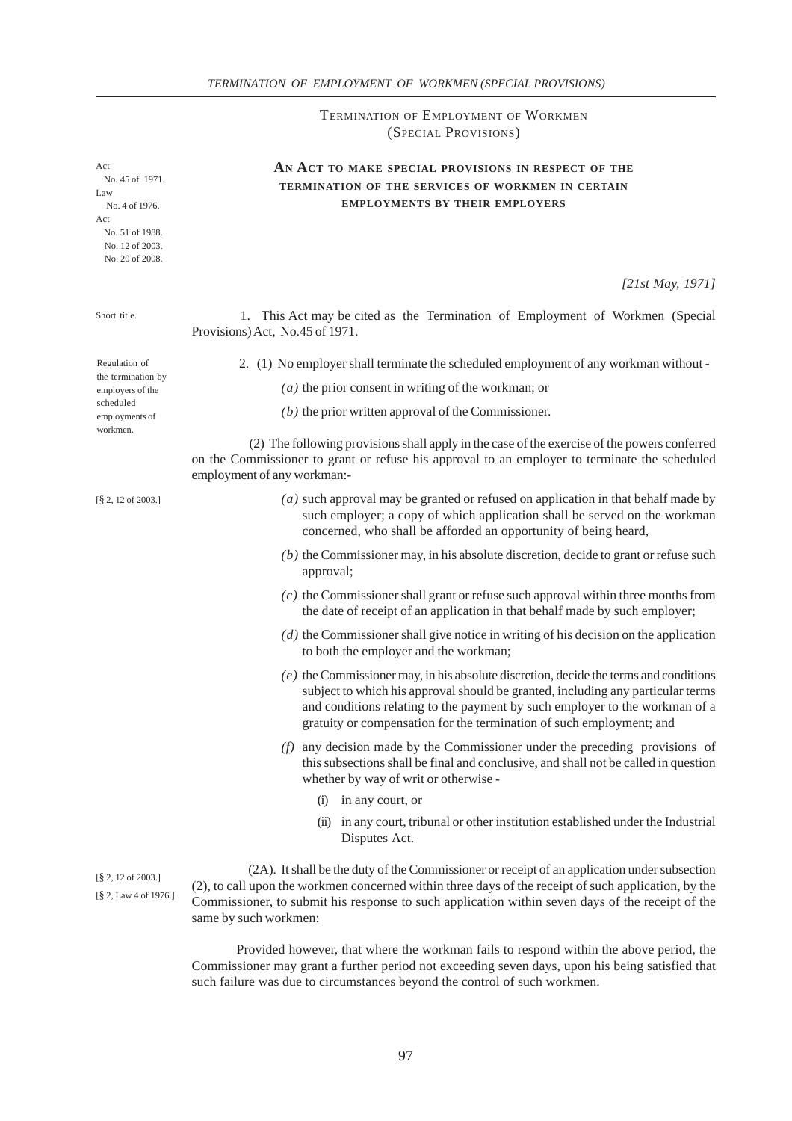TERMINATION OF EMPLOYMENT OF WORKMEN (SPECIAL PROVISIONS)

# **AN ACT TO MAKE SPECIAL PROVISIONS IN RESPECT OF THE TERMINATION OF THE SERVICES OF WORKMEN IN CERTAIN EMPLOYMENTS BY THEIR EMPLOYERS**

*[21st May, 1971]*

 1. This Act may be cited as the Termination of Employment of Workmen (Special Provisions) Act, No.45 of 1971.

2. (1) No employer shall terminate the scheduled employment of any workman without -

*(a)* the prior consent in writing of the workman; or

*(b)* the prior written approval of the Commissioner.

 (2) The following provisions shall apply in the case of the exercise of the powers conferred on the Commissioner to grant or refuse his approval to an employer to terminate the scheduled employment of any workman:-

- *(a)* such approval may be granted or refused on application in that behalf made by such employer; a copy of which application shall be served on the workman concerned, who shall be afforded an opportunity of being heard,
- *(b)* the Commissioner may, in his absolute discretion, decide to grant or refuse such approval;
- *(c)* the Commissioner shall grant or refuse such approval within three months from the date of receipt of an application in that behalf made by such employer;
- *(d)* the Commissioner shall give notice in writing of his decision on the application to both the employer and the workman;
- *(e)* the Commissioner may, in his absolute discretion, decide the terms and conditions subject to which his approval should be granted, including any particular terms and conditions relating to the payment by such employer to the workman of a gratuity or compensation for the termination of such employment; and
- *(f)* any decision made by the Commissioner under the preceding provisions of this subsections shall be final and conclusive, and shall not be called in question whether by way of writ or otherwise -
	- (i) in any court, or
	- (ii) in any court, tribunal or other institution established under the Industrial Disputes Act.

[§ 2, Law 4 of 1976.] [§ 2, 12 of 2003.]

 (2A). It shall be the duty of the Commissioner or receipt of an application under subsection (2), to call upon the workmen concerned within three days of the receipt of such application, by the Commissioner, to submit his response to such application within seven days of the receipt of the same by such workmen:

Provided however, that where the workman fails to respond within the above period, the Commissioner may grant a further period not exceeding seven days, upon his being satisfied that such failure was due to circumstances beyond the control of such workmen.

Regulation of the termination by employers of the scheduled employments of workmen.

Short title.

Act

Law

Act

No. 45 of 1971.

No. 4 of 1976.

 No. 51 of 1988. No. 12 of 2003. No. 20 of 2008.

[§ 2, 12 of 2003.]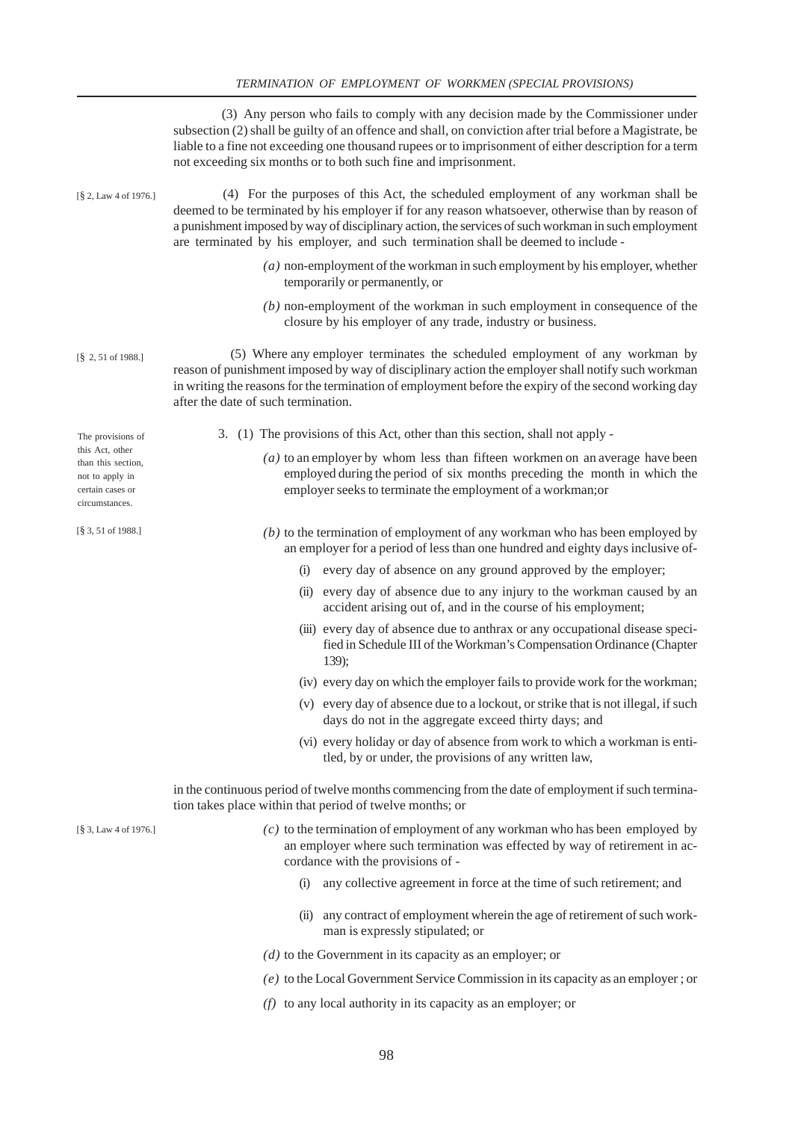(3) Any person who fails to comply with any decision made by the Commissioner under subsection (2) shall be guilty of an offence and shall, on conviction after trial before a Magistrate, be liable to a fine not exceeding one thousand rupees or to imprisonment of either description for a term not exceeding six months or to both such fine and imprisonment. (4) For the purposes of this Act, the scheduled employment of any workman shall be deemed to be terminated by his employer if for any reason whatsoever, otherwise than by reason of a punishment imposed by way of disciplinary action, the services of such workman in such employment are terminated by his employer, and such termination shall be deemed to include - *(a)* non-employment of the workman in such employment by his employer, whether temporarily or permanently, or *(b)* non-employment of the workman in such employment in consequence of the closure by his employer of any trade, industry or business. (5) Where any employer terminates the scheduled employment of any workman by reason of punishment imposed by way of disciplinary action the employer shall notify such workman in writing the reasons for the termination of employment before the expiry of the second working day after the date of such termination. 3. (1) The provisions of this Act, other than this section, shall not apply - *(a)* to an employer by whom less than fifteen workmen on an average have been employed during the period of six months preceding the month in which the employer seeks to terminate the employment of a workman;or *(b)* to the termination of employment of any workman who has been employed by an employer for a period of less than one hundred and eighty days inclusive of- (i) every day of absence on any ground approved by the employer; (ii) every day of absence due to any injury to the workman caused by an accident arising out of, and in the course of his employment; (iii) every day of absence due to anthrax or any occupational disease specified in Schedule III of the Workman's Compensation Ordinance (Chapter 139); (iv) every day on which the employer fails to provide work for the workman; (v) every day of absence due to a lockout, or strike that is not illegal, if such days do not in the aggregate exceed thirty days; and (vi) every holiday or day of absence from work to which a workman is entitled, by or under, the provisions of any written law, in the continuous period of twelve months commencing from the date of employment if such termination takes place within that period of twelve months; or *(c)* to the termination of employment of any workman who has been employed by an employer where such termination was effected by way of retirement in accordance with the provisions of - (i) any collective agreement in force at the time of such retirement; and (ii) any contract of employment wherein the age of retirement of such workman is expressly stipulated; or *(d)* to the Government in its capacity as an employer; or [§ 2, 51 of 1988.] The provisions of this Act, other than this section, not to apply in certain cases or circumstances. [§ 3, 51 of 1988.] [§ 3, Law 4 of 1976.] [§ 2, Law 4 of 1976.]

- *(e)* to the Local Government Service Commission in its capacity as an employer ; or
- *(f)* to any local authority in its capacity as an employer; or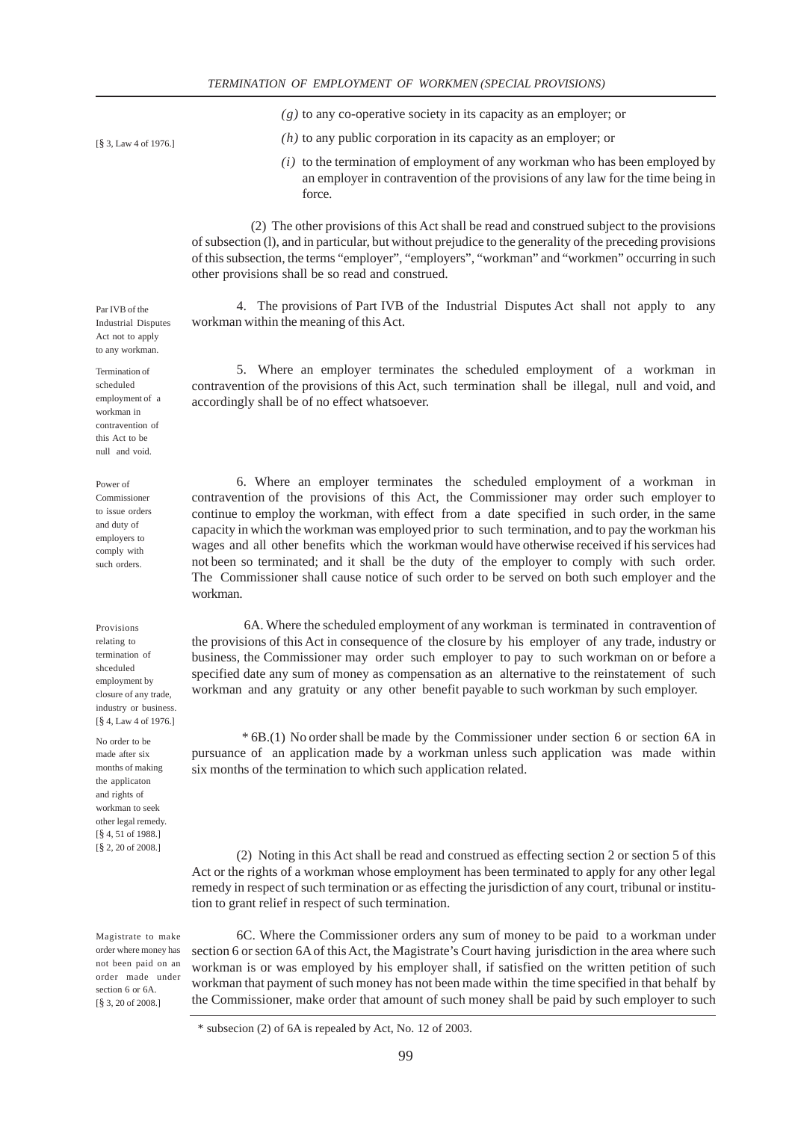*(g)* to any co-operative society in its capacity as an employer; or

- *(h)* to any public corporation in its capacity as an employer; or
- *(i)* to the termination of employment of any workman who has been employed by an employer in contravention of the provisions of any law for the time being in force.

 (2) The other provisions of this Act shall be read and construed subject to the provisions of subsection (l), and in particular, but without prejudice to the generality of the preceding provisions of this subsection, the terms "employer", "employers", "workman" and "workmen" occurring in such other provisions shall be so read and construed.

4. The provisions of Part IVB of the Industrial Disputes Act shall not apply to any workman within the meaning of this Act.

5. Where an employer terminates the scheduled employment of a workman in contravention of the provisions of this Act, such termination shall be illegal, null and void, and accordingly shall be of no effect whatsoever.

6. Where an employer terminates the scheduled employment of a workman in contravention of the provisions of this Act, the Commissioner may order such employer to continue to employ the workman, with effect from a date specified in such order, in the same capacity in which the workman was employed prior to such termination, and to pay the workman his wages and all other benefits which the workman would have otherwise received if his services had not been so terminated; and it shall be the duty of the employer to comply with such order. The Commissioner shall cause notice of such order to be served on both such employer and the workman.

 6A. Where the scheduled employment of any workman is terminated in contravention of the provisions of this Act in consequence of the closure by his employer of any trade, industry or business, the Commissioner may order such employer to pay to such workman on or before a specified date any sum of money as compensation as an alternative to the reinstatement of such workman and any gratuity or any other benefit payable to such workman by such employer.

 \* 6B.(1) No order shall be made by the Commissioner under section 6 or section 6A in pursuance of an application made by a workman unless such application was made within six months of the termination to which such application related.

(2) Noting in this Act shall be read and construed as effecting section 2 or section 5 of this Act or the rights of a workman whose employment has been terminated to apply for any other legal remedy in respect of such termination or as effecting the jurisdiction of any court, tribunal or institution to grant relief in respect of such termination.

6C. Where the Commissioner orders any sum of money to be paid to a workman under section 6 or section 6A of this Act, the Magistrate's Court having jurisdiction in the area where such workman is or was employed by his employer shall, if satisfied on the written petition of such workman that payment of such money has not been made within the time specified in that behalf by the Commissioner, make order that amount of such money shall be paid by such employer to such

[§ 3, Law 4 of 1976.]

Act not to apply to any workman. Termination of scheduled employment of a workman in contravention of

Par IVB of the Industrial Disputes

Power of Commissioner to issue orders and duty of employers to

comply with such orders.

this Act to be null and void.

Provisions relating to termination of shceduled employment by closure of any trade, industry or business. [§ 4, Law 4 of 1976.]

No order to be made after six months of making the applicaton and rights of workman to seek other legal remedy. [§ 4, 51 of 1988.] [§ 2, 20 of 2008.]

Magistrate to make order where money has not been paid on an order made under section 6 or 6A. [§ 3, 20 of 2008.]

 <sup>\*</sup> subsecion (2) of 6A is repealed by Act, No. 12 of 2003.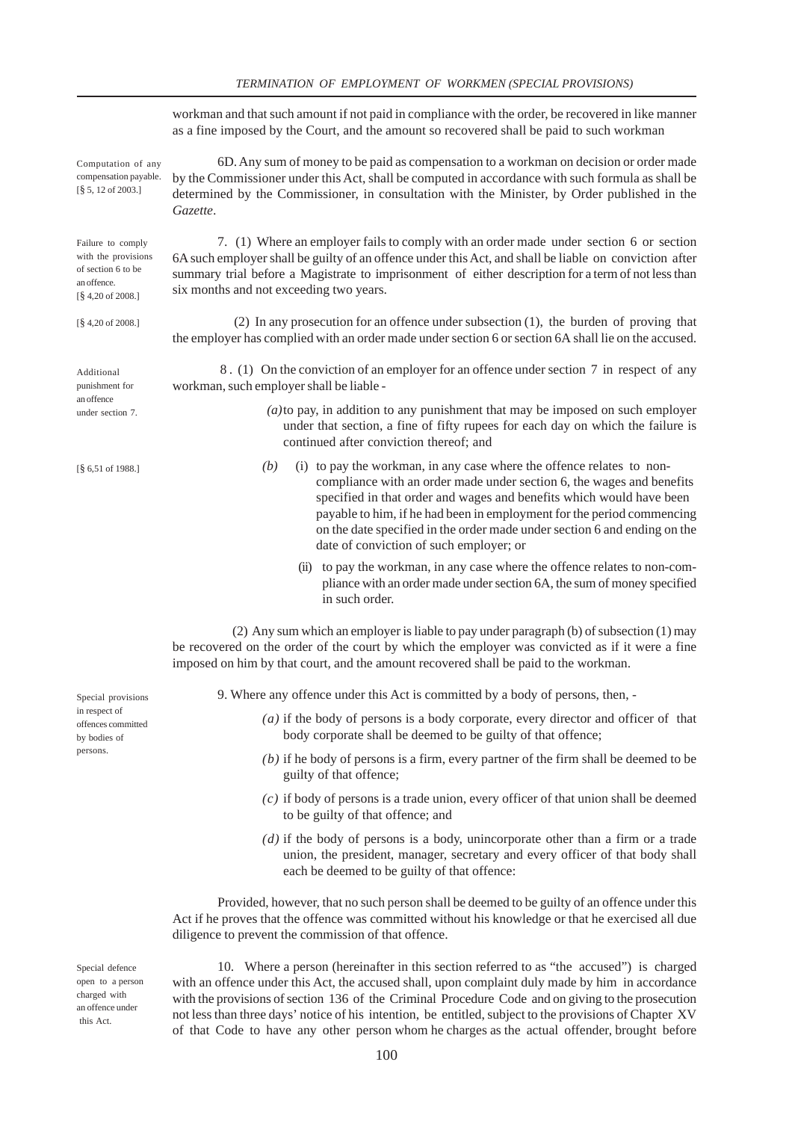|                                                                                                                         | workman and that such amount if not paid in compliance with the order, be recovered in like manner<br>as a fine imposed by the Court, and the amount so recovered shall be paid to such workman                                                                                                                                                                                                                                 |  |  |  |
|-------------------------------------------------------------------------------------------------------------------------|---------------------------------------------------------------------------------------------------------------------------------------------------------------------------------------------------------------------------------------------------------------------------------------------------------------------------------------------------------------------------------------------------------------------------------|--|--|--|
| Computation of any<br>compensation payable.<br>$\left[\frac{8}{3}, 12\right]$ of 2003.]                                 | 6D. Any sum of money to be paid as compensation to a workman on decision or order made<br>by the Commissioner under this Act, shall be computed in accordance with such formula as shall be<br>determined by the Commissioner, in consultation with the Minister, by Order published in the<br>Gazette.                                                                                                                         |  |  |  |
| Failure to comply<br>with the provisions<br>of section 6 to be<br>an offence.<br>$[\frac{8}{9}4, 20 \text{ of } 2008.]$ | 7. (1) Where an employer fails to comply with an order made under section 6 or section<br>6A such employer shall be guilty of an offence under this Act, and shall be liable on conviction after<br>summary trial before a Magistrate to imprisonment of either description for a term of not less than<br>six months and not exceeding two years.                                                                              |  |  |  |
| [§ 4,20 of 2008.]                                                                                                       | (2) In any prosecution for an offence under subsection (1), the burden of proving that<br>the employer has complied with an order made under section 6 or section 6A shall lie on the accused.                                                                                                                                                                                                                                  |  |  |  |
| Additional<br>punishment for<br>an offence<br>under section 7.                                                          | 8. (1) On the conviction of an employer for an offence under section 7 in respect of any<br>workman, such employer shall be liable -                                                                                                                                                                                                                                                                                            |  |  |  |
|                                                                                                                         | $(a)$ to pay, in addition to any punishment that may be imposed on such employer<br>under that section, a fine of fifty rupees for each day on which the failure is<br>continued after conviction thereof; and                                                                                                                                                                                                                  |  |  |  |
| $\S$ 6,51 of 1988.]                                                                                                     | (b)<br>(i) to pay the workman, in any case where the offence relates to non-<br>compliance with an order made under section 6, the wages and benefits<br>specified in that order and wages and benefits which would have been<br>payable to him, if he had been in employment for the period commencing<br>on the date specified in the order made under section 6 and ending on the<br>date of conviction of such employer; or |  |  |  |
|                                                                                                                         | (ii) to pay the workman, in any case where the offence relates to non-com-<br>pliance with an order made under section 6A, the sum of money specified<br>in such order.                                                                                                                                                                                                                                                         |  |  |  |
|                                                                                                                         | (2) Any sum which an employer is liable to pay under paragraph (b) of subsection (1) may<br>be recovered on the order of the court by which the employer was convicted as if it were a fine<br>imposed on him by that court, and the amount recovered shall be paid to the workman.                                                                                                                                             |  |  |  |
| Special provisions<br>in respect of<br>offences committed<br>by bodies of<br>persons.                                   | 9. Where any offence under this Act is committed by a body of persons, then, -                                                                                                                                                                                                                                                                                                                                                  |  |  |  |
|                                                                                                                         | $(a)$ if the body of persons is a body corporate, every director and officer of that<br>body corporate shall be deemed to be guilty of that offence;                                                                                                                                                                                                                                                                            |  |  |  |
|                                                                                                                         | $(b)$ if he body of persons is a firm, every partner of the firm shall be deemed to be<br>guilty of that offence;                                                                                                                                                                                                                                                                                                               |  |  |  |
|                                                                                                                         | $(c)$ if body of persons is a trade union, every officer of that union shall be deemed<br>to be guilty of that offence; and                                                                                                                                                                                                                                                                                                     |  |  |  |
|                                                                                                                         | $(d)$ if the body of persons is a body, unincorporate other than a firm or a trade<br>union, the president, manager, secretary and every officer of that body shall<br>each be deemed to be guilty of that offence:                                                                                                                                                                                                             |  |  |  |
|                                                                                                                         | Provided, however, that no such person shall be deemed to be guilty of an offence under this<br>Act if he proves that the offence was committed without his knowledge or that he exercised all due<br>diligence to prevent the commission of that offence.                                                                                                                                                                      |  |  |  |
| Special defence<br>open to a person<br>charged with<br>an offence under<br>thie Act                                     | 10. Where a person (hereinafter in this section referred to as "the accused") is charged<br>with an offence under this Act, the accused shall, upon complaint duly made by him in accordance<br>with the provisions of section 136 of the Criminal Procedure Code and on giving to the prosecution<br>not less than three days' notice of his intention, be entitled, subject to the provisions of Chapter XV                   |  |  |  |

100

this Act.

of that Code to have any other person whom he charges as the actual offender, brought before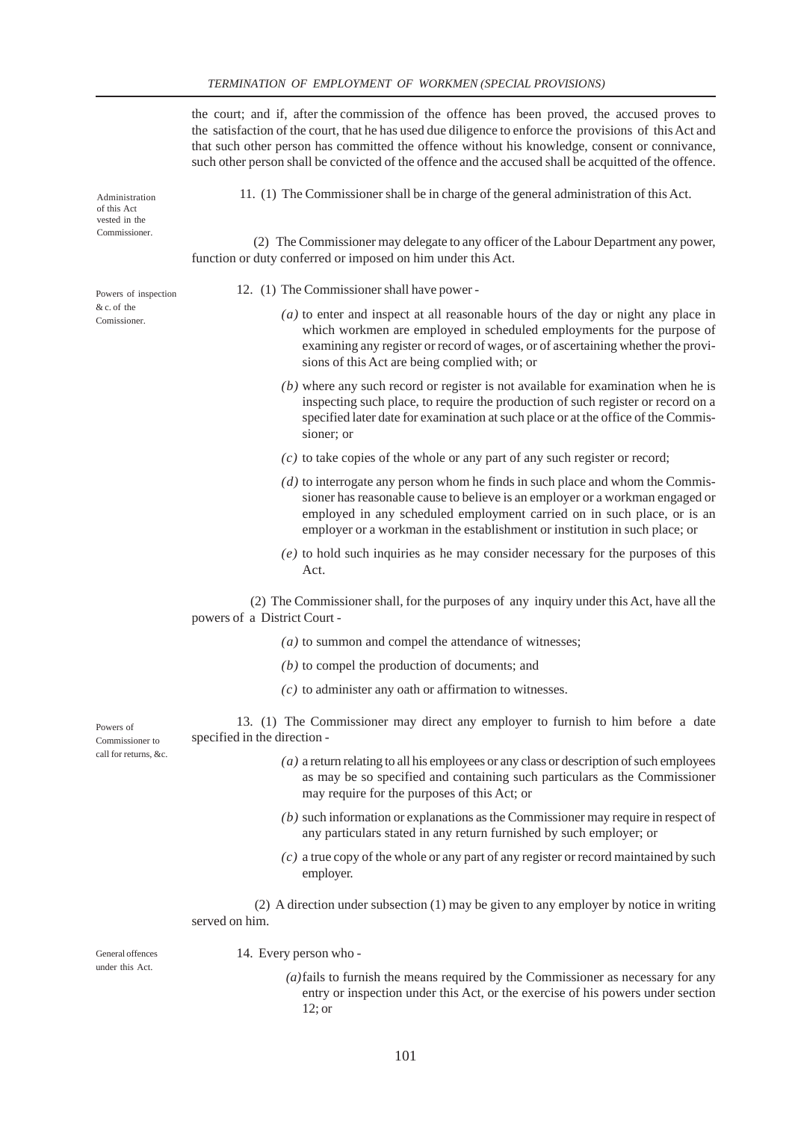the court; and if, after the commission of the offence has been proved, the accused proves to the satisfaction of the court, that he has used due diligence to enforce the provisions of this Act and that such other person has committed the offence without his knowledge, consent or connivance, such other person shall be convicted of the offence and the accused shall be acquitted of the offence.

11. (1) The Commissioner shall be in charge of the general administration of this Act.

 (2) The Commissioner may delegate to any officer of the Labour Department any power, function or duty conferred or imposed on him under this Act.

- 12. (1) The Commissioner shall have power
	- *(a)* to enter and inspect at all reasonable hours of the day or night any place in which workmen are employed in scheduled employments for the purpose of examining any register or record of wages, or of ascertaining whether the provisions of this Act are being complied with; or
	- *(b)* where any such record or register is not available for examination when he is inspecting such place, to require the production of such register or record on a specified later date for examination at such place or at the office of the Commissioner; or
	- *(c)* to take copies of the whole or any part of any such register or record;
	- *(d)* to interrogate any person whom he finds in such place and whom the Commissioner has reasonable cause to believe is an employer or a workman engaged or employed in any scheduled employment carried on in such place, or is an employer or a workman in the establishment or institution in such place; or
	- *(e)* to hold such inquiries as he may consider necessary for the purposes of this Act.

 (2) The Commissioner shall, for the purposes of any inquiry under this Act, have all the powers of a District Court -

- *(a)* to summon and compel the attendance of witnesses;
- *(b)* to compel the production of documents; and
- *(c)* to administer any oath or affirmation to witnesses.

13. (1) The Commissioner may direct any employer to furnish to him before a date specified in the direction -

- *(a)* a return relating to all his employees or any class or description of such employees as may be so specified and containing such particulars as the Commissioner may require for the purposes of this Act; or
- *(b)* such information or explanations as the Commissioner may require in respect of any particulars stated in any return furnished by such employer; or
- *(c)* a true copy of the whole or any part of any register or record maintained by such employer.

 (2) A direction under subsection (1) may be given to any employer by notice in writing served on him.

General offences under this Act.

Powers of Commissioner to call for returns, &c.

14. Every person who -

 *(a)*fails to furnish the means required by the Commissioner as necessary for any entry or inspection under this Act, or the exercise of his powers under section 12; or

of this Act vested in the Commissioner.

Administration

Powers of inspection  $& c$  of the Comissioner.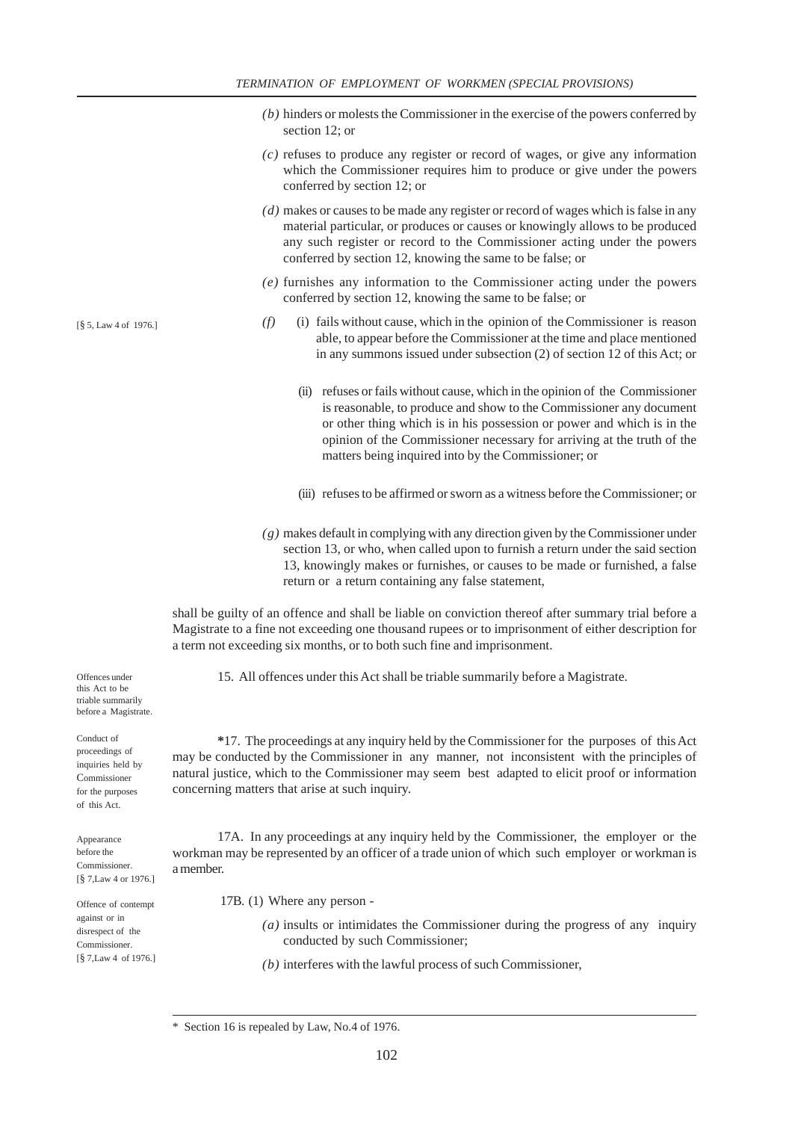- *(b)* hinders or molests the Commissioner in the exercise of the powers conferred by section 12; or
- *(c)* refuses to produce any register or record of wages, or give any information which the Commissioner requires him to produce or give under the powers conferred by section 12; or
- *(d)* makes or causes to be made any register or record of wages which is false in any material particular, or produces or causes or knowingly allows to be produced any such register or record to the Commissioner acting under the powers conferred by section 12, knowing the same to be false; or
- *(e)* furnishes any information to the Commissioner acting under the powers conferred by section 12, knowing the same to be false; or
- *(f)* (i) fails without cause, which in the opinion of the Commissioner is reason able, to appear before the Commissioner at the time and place mentioned in any summons issued under subsection (2) of section 12 of this Act; or
	- (ii) refuses or fails without cause, which in the opinion of the Commissioner is reasonable, to produce and show to the Commissioner any document or other thing which is in his possession or power and which is in the opinion of the Commissioner necessary for arriving at the truth of the matters being inquired into by the Commissioner; or
	- (iii) refuses to be affirmed or sworn as a witness before the Commissioner; or
- *(g)* makes default in complying with any direction given by the Commissioner under section 13, or who, when called upon to furnish a return under the said section 13, knowingly makes or furnishes, or causes to be made or furnished, a false return or a return containing any false statement,

shall be guilty of an offence and shall be liable on conviction thereof after summary trial before a Magistrate to a fine not exceeding one thousand rupees or to imprisonment of either description for a term not exceeding six months, or to both such fine and imprisonment.

15. All offences under this Act shall be triable summarily before a Magistrate.

Offences under this Act to be triable summarily before a Magistrate.

Conduct of proceedings of inquiries held by Commissioner for the purposes of this Act.

Appearance before the Commissioner. [§ 7,Law 4 or 1976.]

Offence of contempt against or in disrespect of the Commissioner. [§ 7,Law 4 of 1976.]

**\***17. The proceedings at any inquiry held by the Commissioner for the purposes of this Act may be conducted by the Commissioner in any manner, not inconsistent with the principles of natural justice, which to the Commissioner may seem best adapted to elicit proof or information concerning matters that arise at such inquiry.

17A. In any proceedings at any inquiry held by the Commissioner, the employer or the workman may be represented by an officer of a trade union of which such employer or workman is a member.

17B. (1) Where any person -

- *(a)* insults or intimidates the Commissioner during the progress of any inquiry conducted by such Commissioner;
- *(b)* interferes with the lawful process of such Commissioner,

[§ 5, Law 4 of 1976.]

Section 16 is repealed by Law, No.4 of 1976.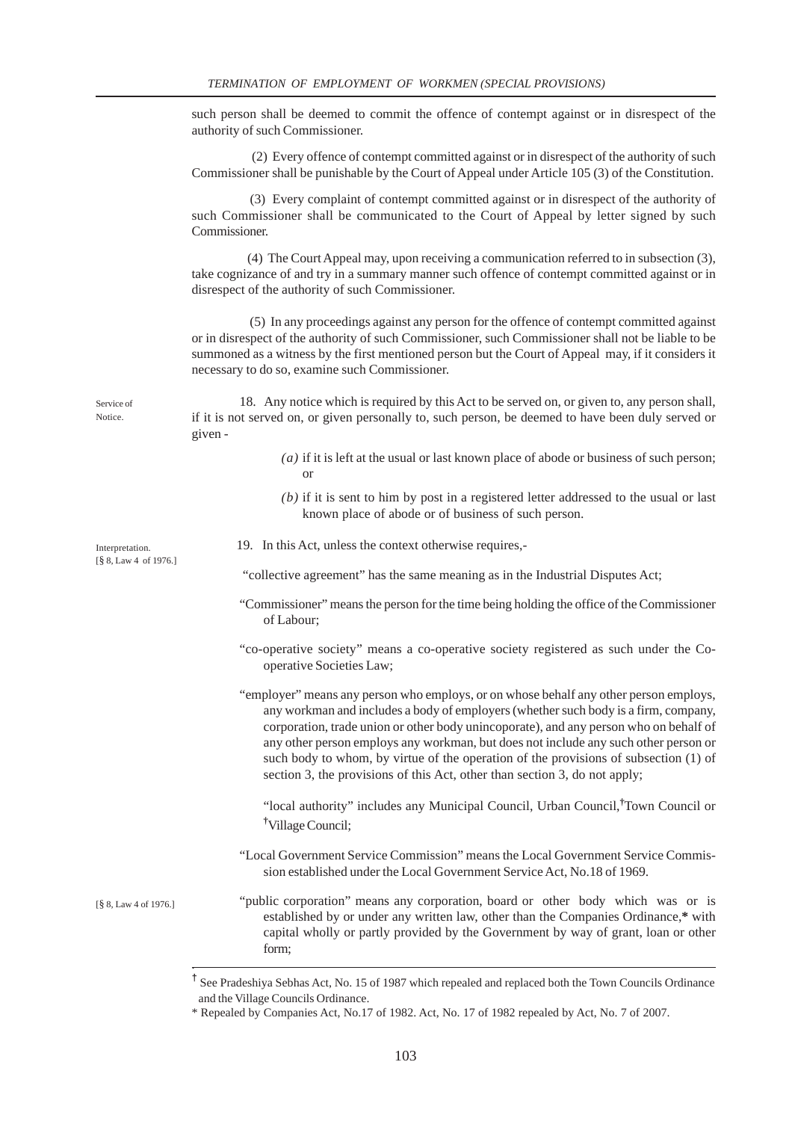such person shall be deemed to commit the offence of contempt against or in disrespect of the authority of such Commissioner.

 (2) Every offence of contempt committed against or in disrespect of the authority of such Commissioner shall be punishable by the Court of Appeal under Article 105 (3) of the Constitution.

 (3) Every complaint of contempt committed against or in disrespect of the authority of such Commissioner shall be communicated to the Court of Appeal by letter signed by such Commissioner.

 (4) The Court Appeal may, upon receiving a communication referred to in subsection (3), take cognizance of and try in a summary manner such offence of contempt committed against or in disrespect of the authority of such Commissioner.

 (5) In any proceedings against any person for the offence of contempt committed against or in disrespect of the authority of such Commissioner, such Commissioner shall not be liable to be summoned as a witness by the first mentioned person but the Court of Appeal may, if it considers it necessary to do so, examine such Commissioner.

Service of Notice.

18. Any notice which is required by this Act to be served on, or given to, any person shall, if it is not served on, or given personally to, such person, be deemed to have been duly served or given -

- *(a)* if it is left at the usual or last known place of abode or business of such person; or
- *(b)* if it is sent to him by post in a registered letter addressed to the usual or last known place of abode or of business of such person.

Interpretation. [§ 8, Law 4 of 1976.]

.

19. In this Act, unless the context otherwise requires,-

"collective agreement" has the same meaning as in the Industrial Disputes Act;

- "Commissioner" means the person for the time being holding the office of the Commissioner of Labour;
- "co-operative society" means a co-operative society registered as such under the Cooperative Societies Law;
- "employer" means any person who employs, or on whose behalf any other person employs, any workman and includes a body of employers (whether such body is a firm, company, corporation, trade union or other body unincoporate), and any person who on behalf of any other person employs any workman, but does not include any such other person or such body to whom, by virtue of the operation of the provisions of subsection (1) of section 3, the provisions of this Act, other than section 3, do not apply;

"local authority" includes any Municipal Council, Urban Council,**†** Town Council or **†** Village Council;

"Local Government Service Commission" means the Local Government Service Commission established under the Local Government Service Act, No.18 of 1969.

"public corporation" means any corporation, board or other body which was or is established by or under any written law, other than the Companies Ordinance,**\*** with capital wholly or partly provided by the Government by way of grant, loan or other form; [§ 8, Law 4 of 1976.]

> **†** See Pradeshiya Sebhas Act, No. 15 of 1987 which repealed and replaced both the Town Councils Ordinance and the Village Councils Ordinance.

<sup>\*</sup> Repealed by Companies Act, No.17 of 1982. Act, No. 17 of 1982 repealed by Act, No. 7 of 2007.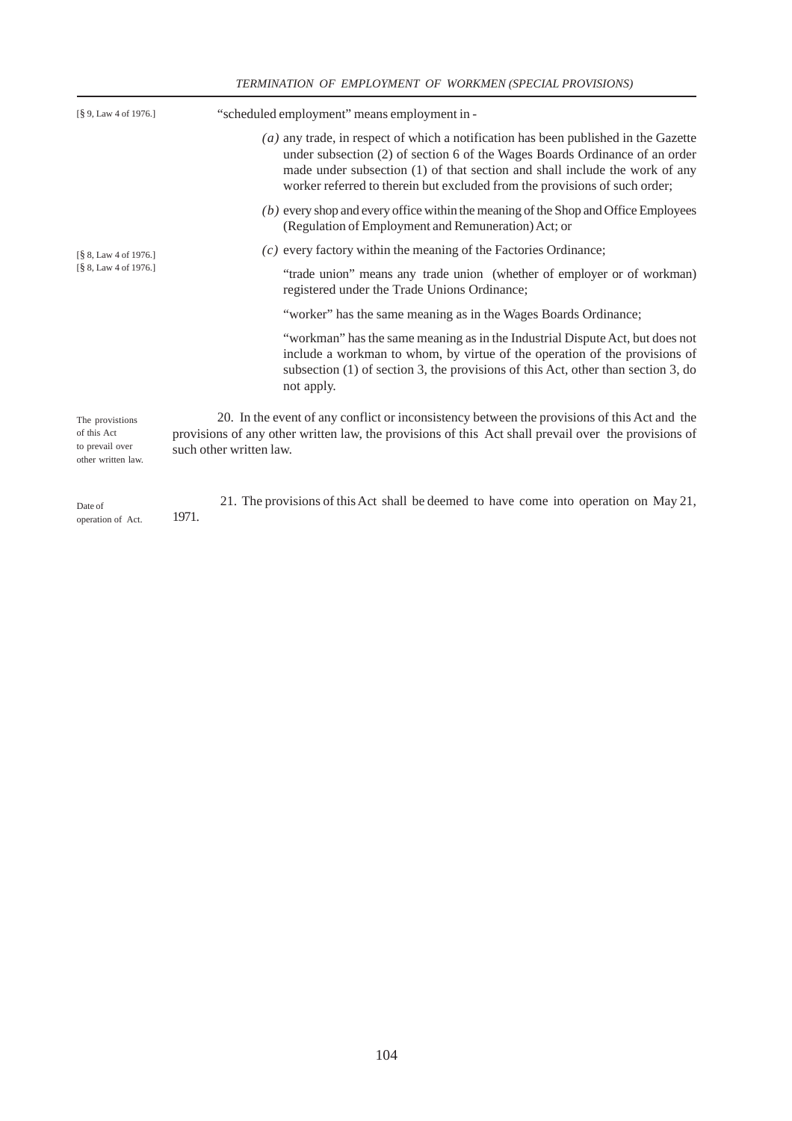## *TERMINATION OF EMPLOYMENT OF WORKMEN (SPECIAL PROVISIONS)*

| $\lceil \frac{8}{3} 9$ , Law 4 of 1976.]                                                         | "scheduled employment" means employment in -                                                                                                                                                                                                                                                                                      |  |  |
|--------------------------------------------------------------------------------------------------|-----------------------------------------------------------------------------------------------------------------------------------------------------------------------------------------------------------------------------------------------------------------------------------------------------------------------------------|--|--|
| $\lceil \frac{8}{3} \rceil$ 8, Law 4 of 1976.]<br>$\lceil \frac{8}{3} \rceil$ 8, Law 4 of 1976.] | $(a)$ any trade, in respect of which a notification has been published in the Gazette<br>under subsection (2) of section 6 of the Wages Boards Ordinance of an order<br>made under subsection (1) of that section and shall include the work of any<br>worker referred to therein but excluded from the provisions of such order; |  |  |
|                                                                                                  | (b) every shop and every office within the meaning of the Shop and Office Employees<br>(Regulation of Employment and Remuneration) Act; or                                                                                                                                                                                        |  |  |
|                                                                                                  | $(c)$ every factory within the meaning of the Factories Ordinance;                                                                                                                                                                                                                                                                |  |  |
|                                                                                                  | "trade union" means any trade union (whether of employer or of workman)<br>registered under the Trade Unions Ordinance;                                                                                                                                                                                                           |  |  |
|                                                                                                  | "worker" has the same meaning as in the Wages Boards Ordinance;                                                                                                                                                                                                                                                                   |  |  |
|                                                                                                  | "workman" has the same meaning as in the Industrial Dispute Act, but does not<br>include a workman to whom, by virtue of the operation of the provisions of<br>subsection (1) of section 3, the provisions of this Act, other than section 3, do<br>not apply.                                                                    |  |  |
| The provistions<br>of this Act<br>to prevail over<br>other written law.                          | 20. In the event of any conflict or inconsistency between the provisions of this Act and the<br>provisions of any other written law, the provisions of this Act shall prevail over the provisions of<br>such other written law.                                                                                                   |  |  |
| Date of<br>operation of Act.                                                                     | 21. The provisions of this Act shall be deemed to have come into operation on May 21,<br>1971.                                                                                                                                                                                                                                    |  |  |